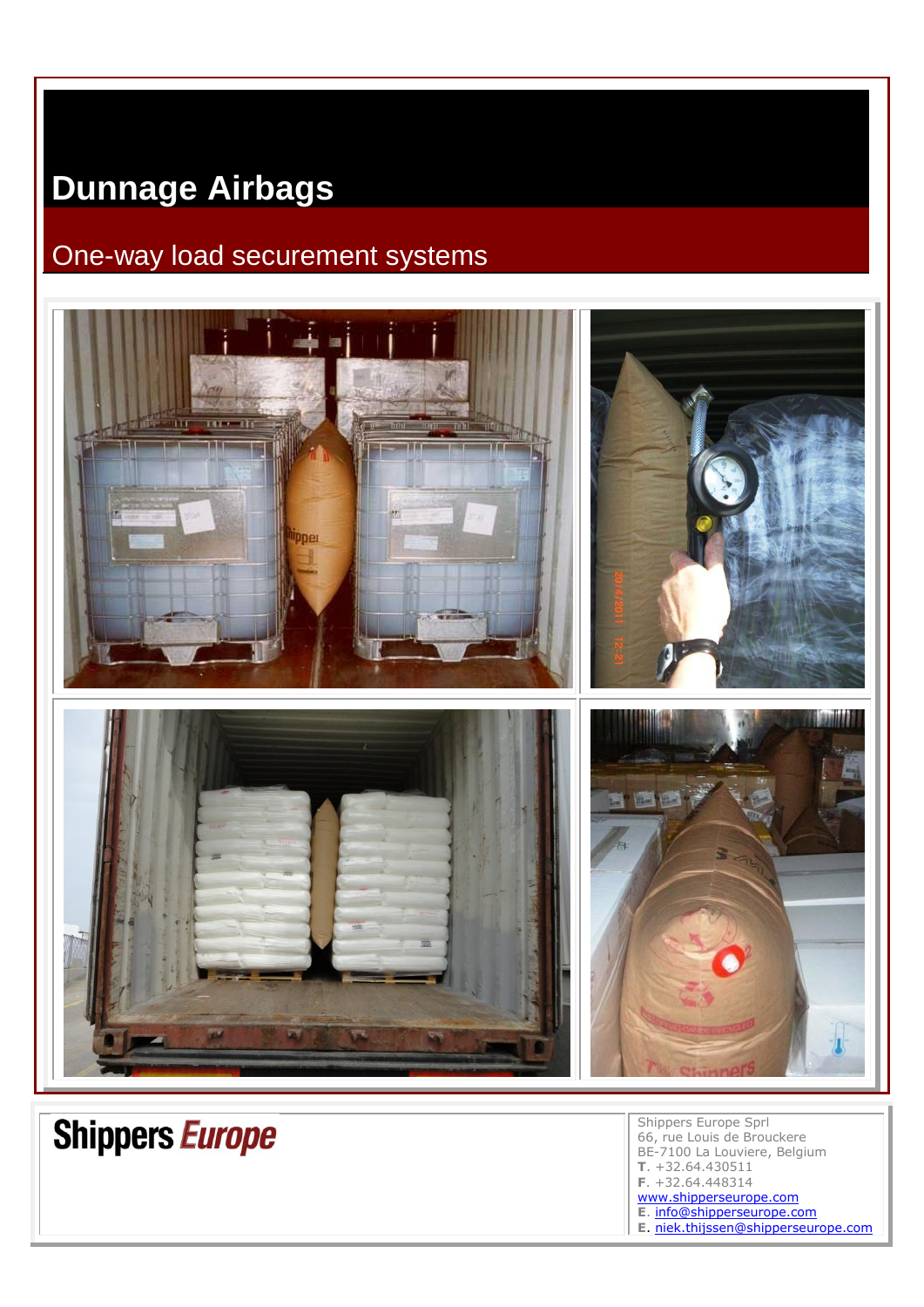## **Dunnage Airbags**

## One-way load securement systems



Shippers Europe Sprl 66, rue Louis de Brouckere BE-7100 La Louviere, Belgium **T**. +32.64.430511 **F**. +32.64.448314 [www.shipperseurope.com](http://www.shipperseurope.com/) **E**. [info@shipperseurope.com](mailto:info@shipperseurope.com) **E**. [niek.thijssen@shipperseurope.com](mailto:niek.thijssen@shipperseurope.com)